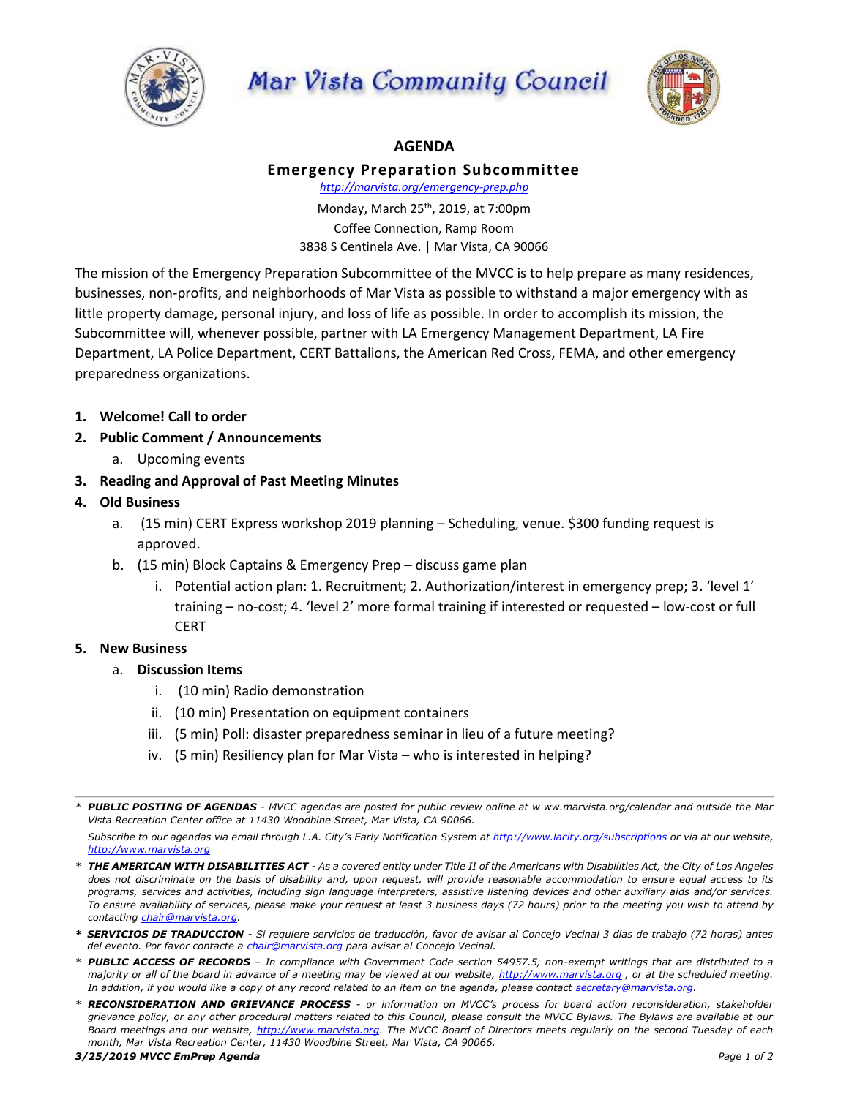

## Mar Vista Community Council



## **AGENDA**

## **Emergency Preparation Subcommittee**

*http://marvista.org/emergency-prep.php*

Monday, March 25th, 2019, at 7:00pm Coffee Connection, Ramp Room 3838 S Centinela Ave. | Mar Vista, CA 90066

The mission of the Emergency Preparation Subcommittee of the MVCC is to help prepare as many residences, businesses, non-profits, and neighborhoods of Mar Vista as possible to withstand a major emergency with as little property damage, personal injury, and loss of life as possible. In order to accomplish its mission, the Subcommittee will, whenever possible, partner with LA Emergency Management Department, LA Fire Department, LA Police Department, CERT Battalions, the American Red Cross, FEMA, and other emergency preparedness organizations.

- **1. Welcome! Call to order**
- **2. Public Comment / Announcements**
	- a. Upcoming events
- **3. Reading and Approval of Past Meeting Minutes**
- **4. Old Business**
	- a. (15 min) CERT Express workshop 2019 planning Scheduling, venue. \$300 funding request is approved.
	- b. (15 min) Block Captains & Emergency Prep discuss game plan
		- i. Potential action plan: 1. Recruitment; 2. Authorization/interest in emergency prep; 3. 'level 1' training – no-cost; 4. 'level 2' more formal training if interested or requested – low-cost or full **CERT**
- **5. New Business**
	- a. **Discussion Items**
		- i. (10 min) Radio demonstration
		- ii. (10 min) Presentation on equipment containers
		- iii. (5 min) Poll: disaster preparedness seminar in lieu of a future meeting?
		- iv. (5 min) Resiliency plan for Mar Vista who is interested in helping?

Subscribe to our agendas via email through L.A. City's Early Notification System at http://www.lacity.org/subscriptions or via at our website, *http://www.marvista.org*

- *\* THE AMERICAN WITH DISABILITIES ACT - As a covered entity under Title II of the Americans with Disabilities Act, the City of Los Angeles does not discriminate on the basis of disability and, upon request, will provide reasonable accommodation to ensure equal access to its programs, services and activities, including sign language interpreters, assistive listening devices and other auxiliary aids and/or services. To ensure availability of services, please make your request at least 3 business days (72 hours) prior to the meeting you wish to attend by contacting chair@marvista.org.*
- *\* SERVICIOS DE TRADUCCION - Si requiere servicios de traducción, favor de avisar al Concejo Vecinal 3 días de trabajo (72 horas) antes del evento. Por favor contacte a [chair@marvista.org](mailto:chair@marvista.org) para avisar al Concejo Vecinal.*
- *\* PUBLIC ACCESS OF RECORDS – In compliance with Government Code section 54957.5, non-exempt writings that are distributed to a majority or all of the board in advance of a meeting may be viewed at our website, http://www.marvista.org , or at the scheduled meeting. In addition, if you would like a copy of any record related to an item on the agenda, please contact secretary@marvista.org.*

*<sup>\*</sup> PUBLIC POSTING OF AGENDAS - MVCC agendas are posted for public review online at w ww.marvista.org/calendar and outside the Mar Vista Recreation Center office at 11430 Woodbine Street, Mar Vista, CA 90066.* 

*<sup>\*</sup> RECONSIDERATION AND GRIEVANCE PROCESS - or information on MVCC's process for board action reconsideration, stakeholder grievance policy, or any other procedural matters related to this Council, please consult the MVCC Bylaws. The Bylaws are available at our Board meetings and our website, http://www.marvista.org. The MVCC Board of Directors meets regularly on the second Tuesday of each month, Mar Vista Recreation Center, 11430 Woodbine Street, Mar Vista, CA 90066.*